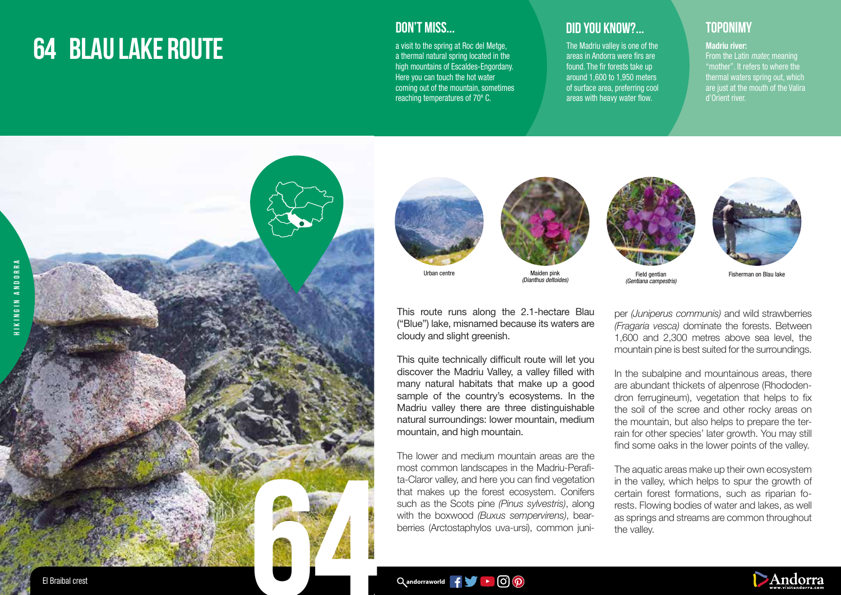# **64 BLAU LAKE ROUTE**



a visit to the spring at Roc del Metge, a thermal natural spring located in the high mountains of Escaldes-Engordany. Here you can touch the hot water coming out of the mountain, sometimes reaching temperatures of 70º C.

## **DID YOU KNOW?... TOPONIMY**

The Madriu valley is one of the areas in Andorra were firs are found. The fir forests take up around 1,600 to 1,950 meters of surface area, preferring cool areas with heavy water flow.

### Madriu river:

From the Latin *mater,* meaning "mother". It refers to where the thermal waters spring out, which are just at the mouth of the Valira d'Orient river.





Urban centre

Maiden pink (Dianthus deltoides)



This quite technically difficult route will let you discover the Madriu Valley, a valley filled with many natural habitats that make up a good sample of the country's ecosystems. In the Madriu valley there are three distinguishable natural surroundings: lower mountain, medium mountain, and high mountain.

The lower and medium mountain areas are the most common landscapes in the Madriu-Perafita-Claror valley, and here you can find vegetation that makes up the forest ecosystem. Conifers such as the Scots pine *(Pinus sylvestris)*, along with the boxwood *(Buxus sempervirens)*, bearberries (Arctostaphylos uva-ursi), common juni-



(Gentiana campestris)



Fisherman on Blau lake

per *(Juniperus communis)* and wild strawberries *(Fragaria vesca)* dominate the forests. Between 1,600 and 2,300 metres above sea level, the mountain pine is best suited for the surroundings.

In the subalpine and mountainous areas, there are abundant thickets of alpenrose (Rhododendron ferrugineum), vegetation that helps to fix the soil of the scree and other rocky areas on the mountain, but also helps to prepare the terrain for other species' later growth. You may still find some oaks in the lower points of the valley.

The aquatic areas make up their own ecosystem in the valley, which helps to spur the growth of certain forest formations, such as riparian forests. Flowing bodies of water and lakes, as well as springs and streams are common throughout the valley.